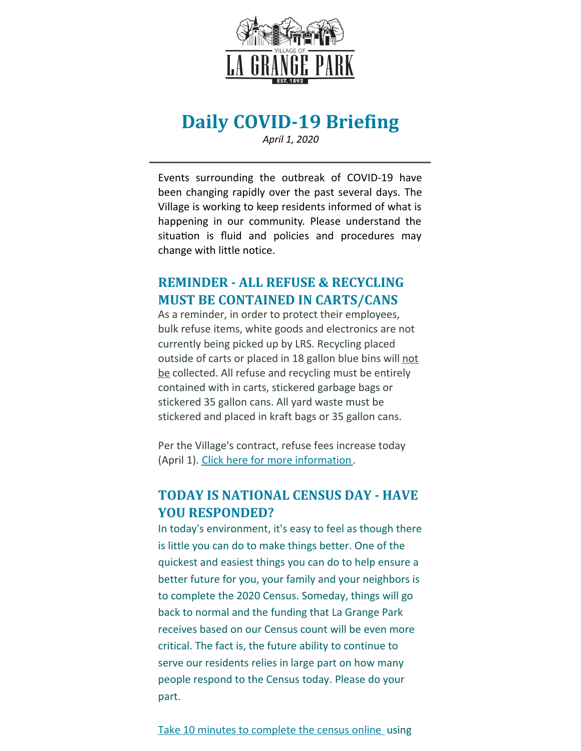

# **Daily COVID-19 Briefing**

*April 1, 2020*

Events surrounding the outbreak of COVID-19 have been changing rapidly over the past several days. The Village is working to keep residents informed of what is happening in our community. Please understand the situation is fluid and policies and procedures may change with little notice.

#### **REMINDER - ALL REFUSE & RECYCLING MUST BE CONTAINED IN CARTS/CANS**

As a reminder, in order to protect their employees, bulk refuse items, white goods and electronics are not currently being picked up by LRS. Recycling placed outside of carts or placed in 18 gallon blue bins will not be collected. All refuse and recycling must be entirely contained with in carts, stickered garbage bags or stickered 35 gallon cans. All yard waste must be stickered and placed in kraft bags or 35 gallon cans.

Per the Village's contract, refuse fees increase today (April 1). Click here for more [information](https://il-lagrangepark.civicplus.com/CivicAlerts.aspx?AID=116).

#### **TODAY IS NATIONAL CENSUS DAY - HAVE YOU RESPONDED?**

In today's environment, it's easy to feel as though there is little you can do to make things better. One of the quickest and easiest things you can do to help ensure a better future for you, your family and your neighbors is to complete the 2020 Census. Someday, things will go back to normal and the funding that La Grange Park receives based on our Census count will be even more critical. The fact is, the future ability to continue to serve our residents relies in large part on how many people respond to the Census today. Please do your part.

Take 10 minutes to [complete](https://2020census.gov/?cid=20003:2020 census:sem.ga:p:dm:en:&utm_source=sem.ga&utm_medium=p&utm_campaign=dm:en&utm_content=20003&utm_term=2020 census) the census online using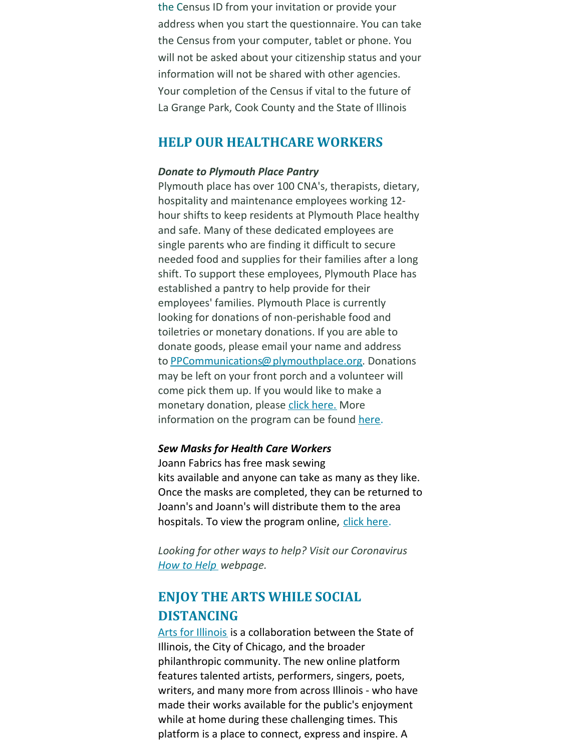the Census ID from your invitation or provide your address when you start the questionnaire. You can take the Census from your computer, tablet or phone. You will not be asked about your citizenship status and your information will not be shared with other agencies. Your completion of the Census if vital to the future of La Grange Park, Cook County and the State of Illinois

#### **HELP OUR HEALTHCARE WORKERS**

#### *Donate to Plymouth Place Pantry*

Plymouth place has over 100 CNA's, therapists, dietary, hospitality and maintenance employees working 12 hour shifts to keep residents at Plymouth Place healthy and safe. Many of these dedicated employees are single parents who are finding it difficult to secure needed food and supplies for their families after a long shift. To support these employees, Plymouth Place has established a pantry to help provide for their employees' families. Plymouth Place is currently looking for donations of non-perishable food and toiletries or monetary donations. If you are able to donate goods, please email your name and address to [PPCommunications@plymouthplace.org](mailto:PPCommunications@plymouthplace.org). Donations may be left on your front porch and a volunteer will come pick them up. If you would like to make a monetary donation, please click [here.](https://www.plymouthplace.org/giving/) More information on the program can be found [here](https://files.constantcontact.com/fac2adf0101/d5adf86d-61dc-4ced-8567-2a8a63da10ad.pdf).

#### *Sew Masks for Health Care Workers*

Joann Fabrics has free mask sewing kits available and anyone can take as many as they like. Once the masks are completed, they can be returned to Joann's and Joann's will distribute them to the area hospitals. To view the program online, click [here](https://www.joann.com/make-to-give-response/).

*Looking for other ways to help? Visit our Coronavirus [How](http://www.lagrangepark.org/514/How-to-Help) to Help webpage.*

### **ENJOY THE ARTS WHILE SOCIAL DISTANCING**

Arts for [Illinois](https://artsforillinois.org/about) is a collaboration between the State of Illinois, the City of Chicago, and the broader philanthropic community. The new online platform features talented artists, performers, singers, poets, writers, and many more from across Illinois - who have made their works available for the public's enjoyment while at home during these challenging times. This platform is a place to connect, express and inspire. A